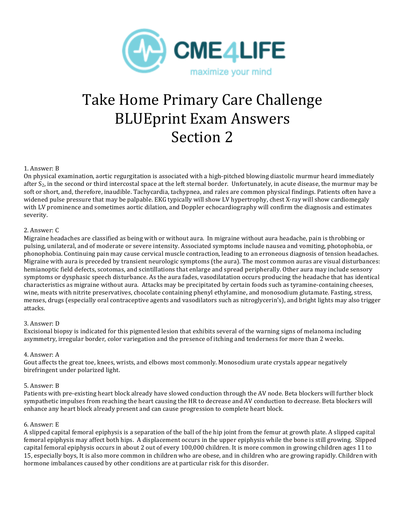

# Take Home Primary Care Challenge **BLUEprint Exam Answers** Section 2

# 1. Answer: B

On physical examination, aortic regurgitation is associated with a high-pitched blowing diastolic murmur heard immediately after  $S_2$ , in the second or third intercostal space at the left sternal border. Unfortunately, in acute disease, the murmur may be soft or short, and, therefore, inaudible. Tachycardia, tachypnea, and rales are common physical findings. Patients often have a widened pulse pressure that may be palpable. EKG typically will show LV hypertrophy, chest X-ray will show cardiomegaly with LV prominence and sometimes aortic dilation, and Doppler echocardiography will confirm the diagnosis and estimates severity. 

# 2. Answer: C

Migraine headaches are classified as being with or without aura. In migraine without aura headache, pain is throbbing or pulsing, unilateral, and of moderate or severe intensity. Associated symptoms include nausea and vomiting, photophobia, or phonophobia. Continuing pain may cause cervical muscle contraction, leading to an erroneous diagnosis of tension headaches. Migraine with aura is preceded by transient neurologic symptoms (the aura). The most common auras are visual disturbances: hemianoptic field defects, scotomas, and scintillations that enlarge and spread peripherally. Other aura may include sensory symptoms or dysphasic speech disturbance. As the aura fades, vasodilatation occurs producing the headache that has identical characteristics as migraine without aura. Attacks may be precipitated by certain foods such as tyramine-containing cheeses, wine, meats with nitrite preservatives, chocolate containing phenyl ethylamine, and monosodium glutamate. Fasting, stress, menses, drugs (especially oral contraceptive agents and vasodilators such as nitroglycerin's), and bright lights may also trigger attacks.

# 3. Answer: D

Excisional biopsy is indicated for this pigmented lesion that exhibits several of the warning signs of melanoma including asymmetry, irregular border, color variegation and the presence of itching and tenderness for more than 2 weeks.

# 4. Answer: A

Gout affects the great toe, knees, wrists, and elbows most commonly. Monosodium urate crystals appear negatively birefringent under polarized light.

# 5. Answer: B

Patients with pre-existing heart block already have slowed conduction through the AV node. Beta blockers will further block sympathetic impulses from reaching the heart causing the HR to decrease and AV conduction to decrease. Beta blockers will enhance any heart block already present and can cause progression to complete heart block.

# 6. Answer: E

A slipped capital femoral epiphysis is a separation of the ball of the hip joint from the femur at growth plate. A slipped capital femoral epiphysis may affect both hips. A displacement occurs in the upper epiphysis while the bone is still growing. Slipped capital femoral epiphysis occurs in about 2 out of every 100,000 children. It is more common in growing children ages 11 to 15, especially boys, It is also more common in children who are obese, and in children who are growing rapidly. Children with hormone imbalances caused by other conditions are at particular risk for this disorder.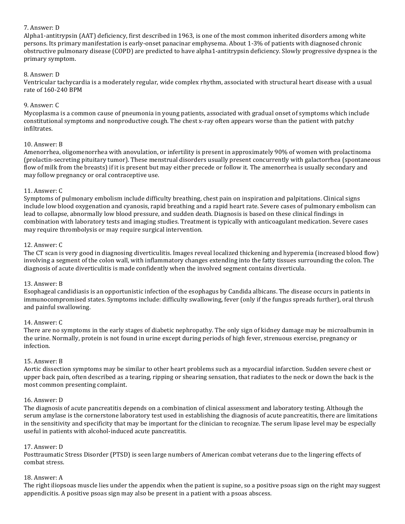# 7. Answer: D

Alpha1-antitrypsin (AAT) deficiency, first described in 1963, is one of the most common inherited disorders among white persons. Its primary manifestation is early-onset panacinar emphysema. About 1-3% of patients with diagnosed chronic obstructive pulmonary disease (COPD) are predicted to have alpha1-antitrypsin deficiency. Slowly progressive dyspnea is the primary symptom.

# 8. Answer: D

Ventricular tachycardia is a moderately regular, wide complex rhythm, associated with structural heart disease with a usual rate of 160-240 BPM

# 9. Answer: C

Mycoplasma is a common cause of pneumonia in young patients, associated with gradual onset of symptoms which include constitutional symptoms and nonproductive cough. The chest x-ray often appears worse than the patient with patchy infiltrates. 

# 10. Answer: B

Amenorrhea, oligomenorrhea with anovulation, or infertility is present in approximately 90% of women with prolactinoma (prolactin-secreting pituitary tumor). These menstrual disorders usually present concurrently with galactorrhea (spontaneous flow of milk from the breasts) if it is present but may either precede or follow it. The amenorrhea is usually secondary and may follow pregnancy or oral contraceptive use.

# 11. Answer: C

Symptoms of pulmonary embolism include difficulty breathing, chest pain on inspiration and palpitations. Clinical signs include low blood oxygenation and cyanosis, rapid breathing and a rapid heart rate. Severe cases of pulmonary embolism can lead to collapse, abnormally low blood pressure, and sudden death. Diagnosis is based on these clinical findings in combination with laboratory tests and imaging studies. Treatment is typically with anticoagulant medication. Severe cases may require thrombolysis or may require surgical intervention.

# 12. Answer: C

The CT scan is very good in diagnosing diverticulitis. Images reveal localized thickening and hyperemia (increased blood flow) involving a segment of the colon wall, with inflammatory changes extending into the fatty tissues surrounding the colon. The diagnosis of acute diverticulitis is made confidently when the involved segment contains diverticula.

# 13. Answer: B

Esophageal candidiasis is an opportunistic infection of the esophagus by Candida albicans. The disease occurs in patients in immunocompromised states. Symptoms include: difficulty swallowing, fever (only if the fungus spreads further), oral thrush and painful swallowing.

# 14. Answer: C

There are no symptoms in the early stages of diabetic nephropathy. The only sign of kidney damage may be microalbumin in the urine. Normally, protein is not found in urine except during periods of high fever, strenuous exercise, pregnancy or infection.

# 15. Answer: B

Aortic dissection symptoms may be similar to other heart problems such as a myocardial infarction. Sudden severe chest or upper back pain, often described as a tearing, ripping or shearing sensation, that radiates to the neck or down the back is the most common presenting complaint.

# 16. Answer: D

The diagnosis of acute pancreatitis depends on a combination of clinical assessment and laboratory testing. Although the serum amylase is the cornerstone laboratory test used in establishing the diagnosis of acute pancreatitis, there are limitations in the sensitivity and specificity that may be important for the clinician to recognize. The serum lipase level may be especially useful in patients with alcohol-induced acute pancreatitis.

# 17. Answer: D

Posttraumatic Stress Disorder (PTSD) is seen large numbers of American combat veterans due to the lingering effects of combat stress.

# 18. Answer: A

The right iliopsoas muscle lies under the appendix when the patient is supine, so a positive psoas sign on the right may suggest appendicitis. A positive psoas sign may also be present in a patient with a psoas abscess.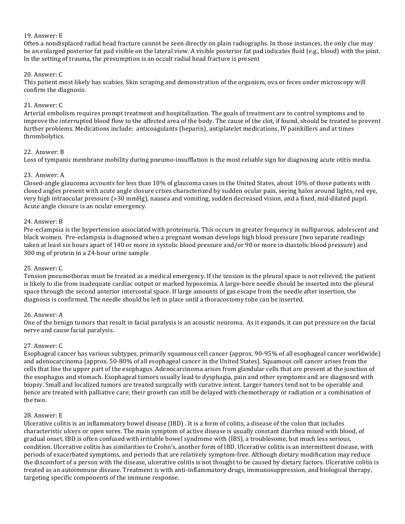# 19. Answer: E

Often a nondisplaced radial head fracture cannot be seen directly on plain radiographs. In those instances, the only clue may be an enlarged posterior fat pad visible on the lateral view. A visible posterior fat pad indicates fluid (e.g., blood) with the joint. In the setting of trauma, the presumption is an occult radial head fracture is present

# 20. Answer: C

This patient most likely has scabies. Skin scraping and demonstration of the organism, ova or feces under microscopy will confirm the diagnosis.

# 21. Answer: C

Arterial embolism requires prompt treatment and hospitalization. The goals of treatment are to control symptoms and to improve the interrupted blood flow to the affected area of the body. The cause of the clot, if found, should be treated to prevent further problems. Medications include: anticoagulants (heparin), antiplatelet medications, IV painkillers and at times thrombolytics. 

# 22. Answer: B

Loss of tympanic membrane mobility during pneumo-insufflation is the most reliable sign for diagnosing acute otitis media.

# 23. Answer: A

Closed-angle glaucoma accounts for less than 10% of glaucoma cases in the United States, about 10% of those patients with closed angles present with acute angle closure crises characterized by sudden ocular pain, seeing halos around lights, red eye, very high intraocular pressure (>30 mmHg), nausea and vomiting, sudden decreased vision, and a fixed, mid-dilated pupil. Acute angle closure is an ocular emergency.

# 24. Answer: B

Pre-eclampsia is the hypertension associated with proteinuria. This occurs in greater frequency in nulliparous, adolescent and black women. Pre-eclampsia is diagnosed when a pregnant woman develops high blood pressure (two separate readings taken at least six hours apart of 140 or more in systolic blood pressure and/or 90 or more in diastolic blood pressure) and 300 mg of protein in a 24-hour urine sample

# 25. Answer: C

Tension pneumothorax must be treated as a medical emergency. If the tension in the pleural space is not relieved, the patient is likely to die from inadequate cardiac output or marked hypoxemia. A large-bore needle should be inserted into the pleural space through the second anterior intercostal space. If large amounts of gas escape from the needle after insertion, the diagnosis is confirmed. The needle should be left in place until a thoracostomy tube can be inserted.

# 26. Answer: A

One of the benign tumors that result in facial paralysis is an acoustic neuroma. As it expands, it can put pressure on the facial nerve and cause facial paralysis.

# 27. Answer: C

Esophageal cancer has various subtypes, primarily squamous cell cancer (approx. 90-95% of all esophageal cancer worldwide) and adenocarcinoma (approx. 50-80% of all esophageal cancer in the United States). Squamous cell cancer arises from the cells that line the upper part of the esophagus. Adenocarcinoma arises from glandular cells that are present at the junction of the esophagus and stomach. Esophageal tumors usually lead to dysphagia, pain and other symptoms and are diagnosed with biopsy. Small and localized tumors are treated surgically with curative intent. Larger tumors tend not to be operable and hence are treated with palliative care; their growth can still be delayed with chemotherapy or radiation or a combination of the two.

# 28. Answer: E

Ulcerative colitis is an inflammatory bowel disease (IBD). It is a form of colitis, a disease of the colon that includes characteristic ulcers or open sores. The main symptom of active disease is usually constant diarrhea mixed with blood, of gradual onset. IBD is often confused with irritable bowel syndrome with (IBS), a troublesome, but much less serious, condition. Ulcerative colitis has similarities to Crohn's, another form of IBD. Ulcerative colitis is an intermittent disease, with periods of exacerbated symptoms, and periods that are relatively symptom-free. Although dietary modification may reduce the discomfort of a person with the disease, ulcerative colitis is not thought to be caused by dietary factors. Ulcerative colitis is treated as an autoimmune disease. Treatment is with anti-inflammatory drugs, immunosuppression, and biological therapy, targeting specific components of the immune response.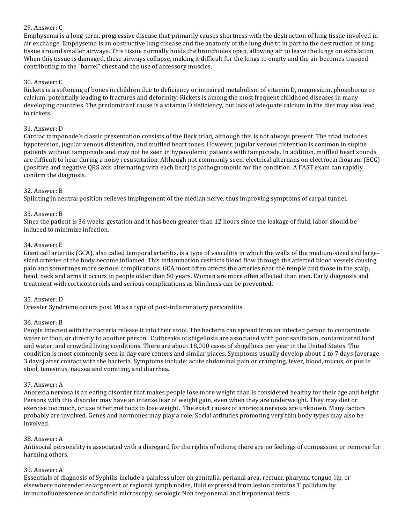# 29. Answer: C

Emphysema is a long-term, progressive disease that primarily causes shortness with the destruction of lung tissue involved in air exchange. Emphysema is an obstructive lung disease and the anatomy of the lung due to in part to the destruction of lung tissue around smaller airways. This tissue normally holds the bronchioles open, allowing air to leave the lungs on exhalation. When this tissue is damaged, these airways collapse, making it difficult for the lungs to empty and the air becomes trapped contributing to the "barrel" chest and the use of accessory muscles.

# 30. Answer: C

Rickets is a softening of bones in children due to deficiency or impaired metabolism of vitamin D, magnesium, phosphorus or calcium, potentially leading to fractures and deformity. Rickets is among the most frequent childhood diseases in many developing countries. The predominant cause is a vitamin D deficiency, but lack of adequate calcium in the diet may also lead to rickets.

# 31. Answer: D

Cardiac tamponade's classic presentation consists of the Beck triad, although this is not always present. The triad includes hypotension, jugular venous distention, and muffled heart tones. However, jugular venous distention is common in supine patients without tamponade and may not be seen in hypovolemic patients with tamponade. In addition, muffled heart sounds are difficult to hear during a noisy resuscitation. Although not commonly seen, electrical alternans on electrocardiogram (ECG) (positive and negative QRS axis alternating with each beat) is pathognomonic for the condition. A FAST exam can rapidly confirm the diagnosis.

# 32. Answer: B

Splinting in neutral position relieves impingement of the median nerve, thus improving symptoms of carpal tunnel.

#### 33. Answer: B

Since the patient is 36 weeks gestation and it has been greater than 12 hours since the leakage of fluid, labor should be induced to minimize infection.

#### 34. Answer: E

Giant cell arteritis (GCA), also called temporal arteritis, is a type of vasculitis in which the walls of the medium-sized and largesized arteries of the body become inflamed. This inflammation restricts blood flow through the affected blood vessels causing pain and sometimes more serious complications. GCA most often affects the arteries near the temple and those in the scalp, head, neck and arms it occurs in people older than 50 years. Women are more often affected than men. Early diagnosis and treatment with corticosteroids and serious complications as blindness can be prevented.

#### 35. Answer: D

Dressler Syndrome occurs post MI as a type of post-inflammatory pericarditis.

#### 36. Answer: B

People infected with the bacteria release it into their stool. The bacteria can spread from an infected person to contaminate water or food, or directly to another person. Outbreaks of shigellosis are associated with poor sanitation, contaminated food and water, and crowded living conditions. There are about 18,000 cases of shigellosis per year in the United States. The condition is most commonly seen in day care centers and similar places. Symptoms usually develop about 1 to 7 days (average 3 days) after contact with the bacteria. Symptoms include: acute abdominal pain or cramping, fever, blood, mucus, or pus in stool, tenesmus, nausea and vomiting, and diarrhea.

#### 37. Answer: A

Anorexia nervosa is an eating disorder that makes people lose more weight than is considered healthy for their age and height. Persons with this disorder may have an intense fear of weight gain, even when they are underweight. They may diet or exercise too much, or use other methods to lose weight. The exact causes of anorexia nervosa are unknown. Many factors probably are involved. Genes and hormones may play a role. Social attitudes promoting very thin body types may also be involved.

#### 38. Answer: A

Antisocial personality is associated with a disregard for the rights of others; there are no feelings of compassion or remorse for harming others.

#### 39. Answer: A

Essentials of diagnosis of Syphilis include a painless ulcer on genitalia, perianal area, rectum, pharynx, tongue, lip, or elsewhere nontender enlargement of regional lymph nodes, fluid expressed from lesion contains T pallidum by immunofluorescence or darkfield microscopy, serologic Non treponemal and treponemal tests.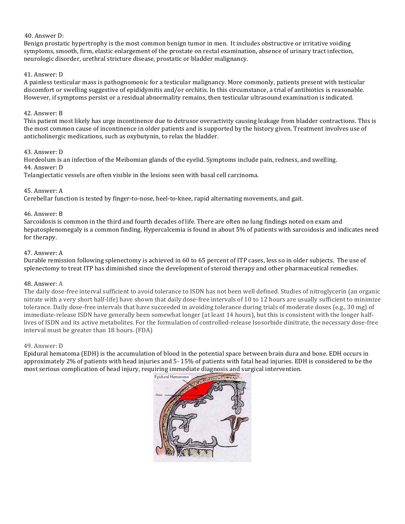# 40. Answer D:

Benign prostatic hypertrophy is the most common benign tumor in men. It includes obstructive or irritative voiding symptoms, smooth, firm, elastic enlargement of the prostate on rectal examination, absence of urinary tract infection, neurologic disorder, urethral stricture disease, prostatic or bladder malignancy.

# 41. Answer: D

A painless testicular mass is pathognomonic for a testicular malignancy. More commonly, patients present with testicular discomfort or swelling suggestive of epididymitis and/or orchitis. In this circumstance, a trial of antibiotics is reasonable. However, if symptoms persist or a residual abnormality remains, then testicular ultrasound examination is indicated.

# 42. Answer: B

This patient most likely has urge incontinence due to detrusor overactivity causing leakage from bladder contractions. This is the most common cause of incontinence in older patients and is supported by the history given. Treatment involves use of anticholinergic medications, such as oxybutynin, to relax the bladder.

# 43. Answer: D

Hordeolum is an infection of the Meibomian glands of the eyelid. Symptoms include pain, redness, and swelling. 44. Answer: D

Telangiectatic vessels are often visible in the lesions seen with basal cell carcinoma.

# 45. Answer: A

Cerebellar function is tested by finger-to-nose, heel-to-knee, rapid alternating movements, and gait.

# 46. Answer: B

Sarcoidosis is common in the third and fourth decades of life. There are often no lung findings noted on exam and hepatosplenomegaly is a common finding. Hypercalcemia is found in about 5% of patients with sarcoidosis and indicates need for therapy.

# 47. Answer: A

Durable remission following splenectomy is achieved in 60 to 65 percent of ITP cases, less so in older subjects. The use of splenectomy to treat ITP has diminished since the development of steroid therapy and other pharmaceutical remedies.

# 48. Answer: A

The daily dose-free interval sufficient to avoid tolerance to ISDN has not been well defined. Studies of nitroglycerin (an organic nitrate with a very short half-life) have shown that daily dose-free intervals of 10 to 12 hours are usually sufficient to minimize tolerance. Daily dose-free intervals that have succeeded in avoiding tolerance during trials of moderate doses (e.g., 30 mg) of immediate-release ISDN have generally been somewhat longer (at least 14 hours), but this is consistent with the longer halflives of ISDN and its active metabolites. For the formulation of controlled-release Isosorbide dinitrate, the necessary dose-free interval must be greater than 18 hours. (FDA)

# 49. Answer: D

Epidural hematoma (EDH) is the accumulation of blood in the potential space between brain dura and bone. EDH occurs in approximately 2% of patients with head injuries and 5-15% of patients with fatal head injuries. EDH is considered to be the most serious complication of head injury, requiring immediate diagnosis and surgical intervention.

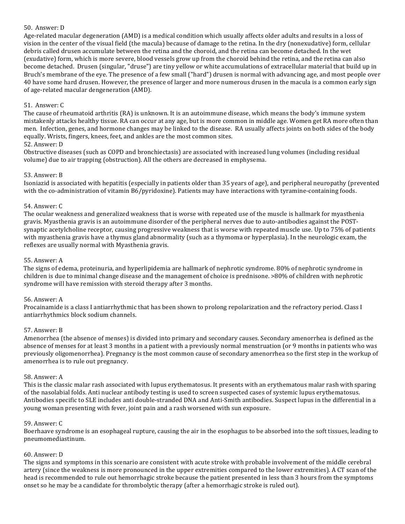## 50. Answer: D

Age-related macular degeneration (AMD) is a medical condition which usually affects older adults and results in a loss of vision in the center of the visual field (the macula) because of damage to the retina. In the dry (nonexudative) form, cellular debris called drusen accumulate between the retina and the choroid, and the retina can become detached. In the wet (exudative) form, which is more severe, blood vessels grow up from the choroid behind the retina, and the retina can also become detached. Drusen (singular, "druse") are tiny yellow or white accumulations of extracellular material that build up in Bruch's membrane of the eye. The presence of a few small ("hard") drusen is normal with advancing age, and most people over 40 have some hard drusen. However, the presence of larger and more numerous drusen in the macula is a common early sign of age-related macular dengeneration (AMD).

## 51. Answer: C

The cause of rheumatoid arthritis (RA) is unknown. It is an autoimmune disease, which means the body's immune system mistakenly attacks healthy tissue. RA can occur at any age, but is more common in middle age. Women get RA more often than men. Infection, genes, and hormone changes may be linked to the disease. RA usually affects joints on both sides of the body equally. Wrists, fingers, knees, feet, and ankles are the most common sites.

#### 52. Answer: D

Obstructive diseases (such as COPD and bronchiectasis) are associated with increased lung volumes (including residual volume) due to air trapping (obstruction). All the others are decreased in emphysema.

#### 53. Answer: B

Isoniazid is associated with hepatitis (especially in patients older than 35 years of age), and peripheral neuropathy (prevented with the co-administration of vitamin B6/pyridoxine). Patients may have interactions with tyramine-containing foods.

#### 54. Answer: C

The ocular weakness and generalized weakness that is worse with repeated use of the muscle is hallmark for myasthenia gravis. Myasthenia gravis is an autoimmune disorder of the peripheral nerves due to auto-antibodies against the POSTsynaptic acetylcholine receptor, causing progressive weakness that is worse with repeated muscle use. Up to 75% of patients with myasthenia gravis have a thymus gland abnormality (such as a thymoma or hyperplasia). In the neurologic exam, the reflexes are usually normal with Myasthenia gravis.

#### 55. Answer: A

The signs of edema, proteinuria, and hyperlipidemia are hallmark of nephrotic syndrome. 80% of nephrotic syndrome in children is due to minimal change disease and the management of choice is prednisone. >80% of children with nephrotic syndrome will have remission with steroid therapy after 3 months.

#### 56. Answer: A

Procainamide is a class I antiarrhythmic that has been shown to prolong repolarization and the refractory period. Class I antiarrhythmics block sodium channels.

#### 57. Answer: B

Amenorrhea (the absence of menses) is divided into primary and secondary causes. Secondary amenorrhea is defined as the absence of menses for at least 3 months in a patient with a previously normal menstruation (or 9 months in patients who was previously oligomenorrhea). Pregnancy is the most common cause of secondary amenorrhea so the first step in the workup of amenorrhea is to rule out pregnancy.

#### 58. Answer: A

This is the classic malar rash associated with lupus erythematosus. It presents with an erythematous malar rash with sparing of the nasolabial folds. Anti nuclear antibody testing is used to screen suspected cases of systemic lupus erythematosus. Antibodies specific to SLE includes anti double-stranded DNA and Anti-Smith antibodies. Suspect lupus in the differential in a young woman presenting with fever, joint pain and a rash worsened with sun exposure.

# 59. Answer: C

Boerhaave syndrome is an esophageal rupture, causing the air in the esophagus to be absorbed into the soft tissues, leading to pneumomediastinum. 

#### 60. Answer: D

The signs and symptoms in this scenario are consistent with acute stroke with probable involvement of the middle cerebral artery (since the weakness is more pronounced in the upper extremities compared to the lower extremities). A CT scan of the head is recommended to rule out hemorrhagic stroke because the patient presented in less than 3 hours from the symptoms onset so he may be a candidate for thrombolytic therapy (after a hemorrhagic stroke is ruled out).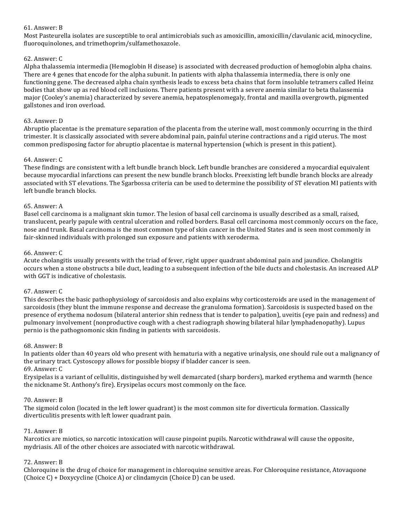# 61. Answer: B

Most Pasteurella isolates are susceptible to oral antimicrobials such as amoxicillin, amoxicillin/clavulanic acid, minocycline, fluoroquinolones, and trimethoprim/sulfamethoxazole.

# 62. Answer: C

Alpha thalassemia intermedia (Hemoglobin H disease) is associated with decreased production of hemoglobin alpha chains. There are 4 genes that encode for the alpha subunit. In patients with alpha thalassemia intermedia, there is only one functioning gene. The decreased alpha chain synthesis leads to excess beta chains that form insoluble tetramers called Heinz bodies that show up as red blood cell inclusions. There patients present with a severe anemia similar to beta thalassemia major (Cooley's anemia) characterized by severe anemia, hepatosplenomegaly, frontal and maxilla overgrowth, pigmented gallstones and iron overload.

# 63. Answer: D

Abruptio placentae is the premature separation of the placenta from the uterine wall, most commonly occurring in the third trimester. It is classically associated with severe abdominal pain, painful uterine contractions and a rigid uterus. The most common predisposing factor for abruptio placentae is maternal hypertension (which is present in this patient).

# 64. Answer: C

These findings are consistent with a left bundle branch block. Left bundle branches are considered a myocardial equivalent because myocardial infarctions can present the new bundle branch blocks. Preexisting left bundle branch blocks are already associated with ST elevations. The Sgarbossa criteria can be used to determine the possibility of ST elevation MI patients with left bundle branch blocks.

# 65. Answer: A

Basel cell carcinoma is a malignant skin tumor. The lesion of basal cell carcinoma is usually described as a small, raised, translucent, pearly papule with central ulceration and rolled borders. Basal cell carcinoma most commonly occurs on the face, nose and trunk. Basal carcinoma is the most common type of skin cancer in the United States and is seen most commonly in fair-skinned individuals with prolonged sun exposure and patients with xeroderma.

# 66. Answer: C

Acute cholangitis usually presents with the triad of fever, right upper quadrant abdominal pain and jaundice. Cholangitis occurs when a stone obstructs a bile duct, leading to a subsequent infection of the bile ducts and cholestasis. An increased ALP with GGT is indicative of cholestasis.

# 67. Answer: C

This describes the basic pathophysiology of sarcoidosis and also explains why corticosteroids are used in the management of sarcoidosis (they blunt the immune response and decrease the granuloma formation). Sarcoidosis is suspected based on the presence of erythema nodosum (bilateral anterior shin redness that is tender to palpation), uveitis (eye pain and redness) and pulmonary involvement (nonproductive cough with a chest radiograph showing bilateral hilar lymphadenopathy). Lupus pernio is the pathognomonic skin finding in patients with sarcoidosis.

# 68. Answer: B

In patients older than 40 years old who present with hematuria with a negative urinalysis, one should rule out a malignancy of the urinary tract. Cystoscopy allows for possible biopsy if bladder cancer is seen. 69. Answer: C

# Erysipelas is a variant of cellulitis, distinguished by well demarcated (sharp borders), marked erythema and warmth (hence the nickname St. Anthony's fire). Erysipelas occurs most commonly on the face.

# 70. Answer: B

The sigmoid colon (located in the left lower quadrant) is the most common site for diverticula formation. Classically diverticulitis presents with left lower quadrant pain.

# 71. Answer: B

Narcotics are miotics, so narcotic intoxication will cause pinpoint pupils. Narcotic withdrawal will cause the opposite, mydriasis. All of the other choices are associated with narcotic withdrawal.

# 72. Answer: B

Chloroquine is the drug of choice for management in chloroquine sensitive areas. For Chloroquine resistance, Atovaquone (Choice  $C$ ) + Doxycycline (Choice A) or clindamycin (Choice D) can be used.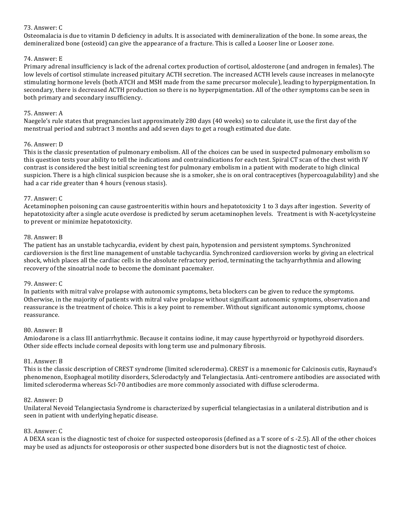# 73. Answer: C

Osteomalacia is due to vitamin D deficiency in adults. It is associated with demineralization of the bone. In some areas, the demineralized bone (osteoid) can give the appearance of a fracture. This is called a Looser line or Looser zone.

# 74. Answer: E

Primary adrenal insufficiency is lack of the adrenal cortex production of cortisol, aldosterone (and androgen in females). The low levels of cortisol stimulate increased pituitary ACTH secretion. The increased ACTH levels cause increases in melanocyte stimulating hormone levels (both ATCH and MSH made from the same precursor molecule), leading to hyperpigmentation. In secondary, there is decreased ACTH production so there is no hyperpigmentation. All of the other symptoms can be seen in both primary and secondary insufficiency.

# 75. Answer: A

Naegele's rule states that pregnancies last approximately 280 days (40 weeks) so to calculate it, use the first day of the menstrual period and subtract 3 months and add seven days to get a rough estimated due date.

# 76. Answer: D

This is the classic presentation of pulmonary embolism. All of the choices can be used in suspected pulmonary embolism so this question tests your ability to tell the indications and contraindications for each test. Spiral CT scan of the chest with IV contrast is considered the best initial screening test for pulmonary embolism in a patient with moderate to high clinical suspicion. There is a high clinical suspicion because she is a smoker, she is on oral contraceptives (hypercoagulability) and she had a car ride greater than 4 hours (venous stasis).

# 77. Answer: C

Acetaminophen poisoning can cause gastroenteritis within hours and hepatotoxicity 1 to 3 days after ingestion. Severity of hepatotoxicity after a single acute overdose is predicted by serum acetaminophen levels. Treatment is with N-acetylcysteine to prevent or minimize hepatotoxicity.

# 78. Answer: B

The patient has an unstable tachycardia, evident by chest pain, hypotension and persistent symptoms. Synchronized cardioversion is the first line management of unstable tachycardia. Synchronized cardioversion works by giving an electrical shock, which places all the cardiac cells in the absolute refractory period, terminating the tachyarrhythmia and allowing recovery of the sinoatrial node to become the dominant pacemaker.

# 79. Answer: C

In patients with mitral valve prolapse with autonomic symptoms, beta blockers can be given to reduce the symptoms. Otherwise, in the majority of patients with mitral valve prolapse without significant autonomic symptoms, observation and reassurance is the treatment of choice. This is a key point to remember. Without significant autonomic symptoms, choose reassurance.

# 80. Answer: B

Amiodarone is a class III antiarrhythmic. Because it contains iodine, it may cause hyperthyroid or hypothyroid disorders. Other side effects include corneal deposits with long term use and pulmonary fibrosis.

# 81. Answer: B

This is the classic description of CREST syndrome (limited scleroderma). CREST is a mnemonic for Calcinosis cutis, Raynaud's phenomenon, Esophageal motility disorders, Sclerodactyly and Telangiectasia. Anti-centromere antibodies are associated with limited scleroderma whereas Scl-70 antibodies are more commonly associated with diffuse scleroderma.

# 82. Answer: D

Unilateral Nevoid Telangiectasia Syndrome is characterized by superficial telangiectasias in a unilateral distribution and is seen in patient with underlying hepatic disease.

# 83. Answer: C

A DEXA scan is the diagnostic test of choice for suspected osteoporosis (defined as a T score of  $\leq$  -2.5). All of the other choices may be used as adjuncts for osteoporosis or other suspected bone disorders but is not the diagnostic test of choice.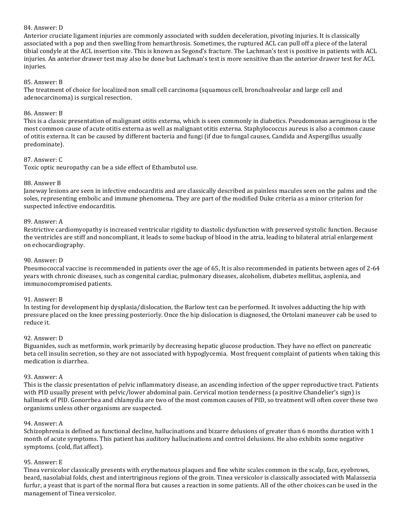# 84. Answer: D

Anterior cruciate ligament injuries are commonly associated with sudden deceleration, pivoting injuries. It is classically associated with a pop and then swelling from hemarthrosis. Sometimes, the ruptured ACL can pull off a piece of the lateral tibial condyle at the ACL insertion site. This is known as Segond's fracture. The Lachman's test is positive in patients with ACL injuries. An anterior drawer test may also be done but Lachman's test is more sensitive than the anterior drawer test for ACL injuries. 

# 85. Answer: B

The treatment of choice for localized non small cell carcinoma (squamous cell, bronchoalveolar and large cell and adenocarcinoma) is surgical resection.

# 86. Answer: B

This is a classic presentation of malignant otitis externa, which is seen commonly in diabetics. Pseudomonas aeruginosa is the most common cause of acute otitis externa as well as malignant otitis externa. Staphylococcus aureus is also a common cause of otitis externa. It can be caused by different bacteria and fungi (if due to fungal causes, Candida and Aspergillus usually predominate). 

# 87. Answer: C

Toxic optic neuropathy can be a side effect of Ethambutol use.

# 88. Answer B

Janeway lesions are seen in infective endocarditis and are classically described as painless macules seen on the palms and the soles, representing embolic and immune phenomena. They are part of the modified Duke criteria as a minor criterion for suspected infective endocarditis.

# 89. Answer: A

Restrictive cardiomyopathy is increased ventricular rigidity to diastolic dysfunction with preserved systolic function. Because the ventricles are stiff and noncompliant, it leads to some backup of blood in the atria, leading to bilateral atrial enlargement on echocardiography.

# 90. Answer: D

Pneumococcal vaccine is recommended in patients over the age of 65, It is also recommended in patients between ages of 2-64 years with chronic diseases, such as congenital cardiac, pulmonary diseases, alcoholism, diabetes mellitus, asplenia, and immunocompromised patients.

# 91. Answer: B

In testing for development hip dysplasia/dislocation, the Barlow test can be performed. It involves adducting the hip with pressure placed on the knee pressing posteriorly. Once the hip dislocation is diagnosed, the Ortolani maneuver cab be used to reduce it.

# 92. Answer: D

Biguanides, such as metformin, work primarily by decreasing hepatic glucose production. They have no effect on pancreatic beta cell insulin secretion, so they are not associated with hypoglycemia. Most frequent complaint of patients when taking this medication is diarrhea.

# 93. Answer: A

This is the classic presentation of pelvic inflammatory disease, an ascending infection of the upper reproductive tract. Patients with PID usually present with pelvic/lower abdominal pain. Cervical motion tenderness (a positive Chandelier's sign) is hallmark of PID. Gonorrhea and chlamydia are two of the most common causes of PID, so treatment will often cover these two organisms unless other organisms are suspected.

# 94. Answer: A

Schizophrenia is defined as functional decline, hallucinations and bizarre delusions of greater than 6 months duration with 1 month of acute symptoms. This patient has auditory hallucinations and control delusions. He also exhibits some negative symptoms. (cold, flat affect).

# 95. Answer: E

Tinea versicolor classically presents with erythematous plaques and fine white scales common in the scalp, face, eyebrows, beard, nasolabial folds, chest and intertriginous regions of the groin. Tinea versicolor is classically associated with Malassezia furfur, a yeast that is part of the normal flora but causes a reaction in some patients. All of the other choices can be used in the management of Tinea versicolor.